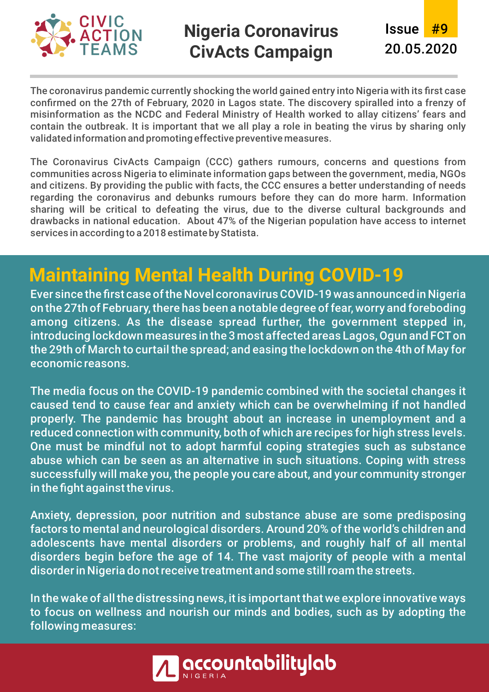

## **Nigeria Coronavirus CivActs Campaign**

Issue #9 20.05.2020

The coronavirus pandemic currently shocking the world gained entry into Nigeria with its first case confirmed on the 27th of February, 2020 in Lagos state. The discovery spiralled into a frenzy of misinformation as the NCDC and Federal Ministry of Health worked to allay citizens' fears and contain the outbreak. It is important that we all play a role in beating the virus by sharing only validated information and promoting effective preventive measures.

The Coronavirus CivActs Campaign (CCC) gathers rumours, concerns and questions from communities across Nigeria to eliminate information gaps between the government, media, NGOs and citizens. By providing the public with facts, the CCC ensures a better understanding of needs regarding the coronavirus and debunks rumours before they can do more harm. Information sharing will be critical to defeating the virus, due to the diverse cultural backgrounds and drawbacks in national education. About 47% of the Nigerian population have access to internet services in according to a 2018 estimate by Statista.

## **Maintaining Mental Health During COVID-19**

Ever since the first case of the Novel coronavirus COVID-19 was announced in Nigeria on the 27th of February, there has been a notable degree of fear, worry and foreboding among citizens. As the disease spread further, the government stepped in, introducing lockdown measures in the 3 most affected areas Lagos, Ogun and FCTon the 29th of March to curtail the spread; and easing the lockdown on the 4th of May for economic reasons.

The media focus on the COVID-19 pandemic combined with the societal changes it caused tend to cause fear and anxiety which can be overwhelming if not handled properly. The pandemic has brought about an increase in unemployment and a reduced connection with community, both of which are recipes for high stress levels. One must be mindful not to adopt harmful coping strategies such as substance abuse which can be seen as an alternative in such situations. Coping with stress successfully will make you, the people you care about, and your community stronger in the fight against the virus.

Anxiety, depression, poor nutrition and substance abuse are some predisposing factors to mental and neurological disorders. Around 20% of the world's children and adolescents have mental disorders or problems, and roughly half of all mental disorders begin before the age of 14. The vast majority of people with a mental disorder in Nigeria do not receive treatment and some still roam the streets.

In the wake of all the distressing news, it is important that we explore innovative ways to focus on wellness and nourish our minds and bodies, such as by adopting the following measures:

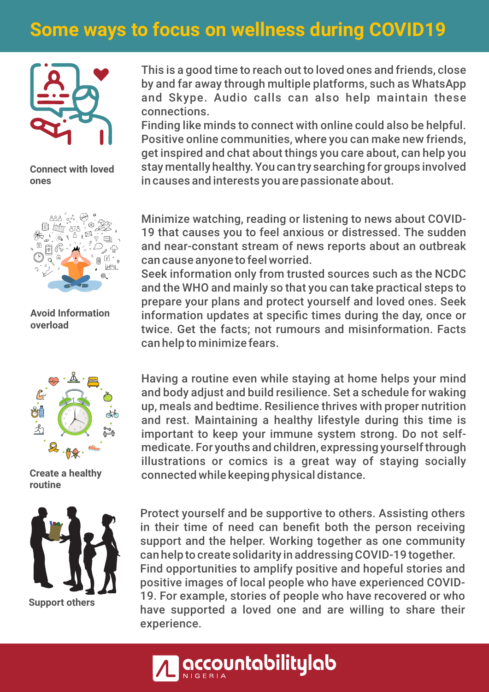## **Some ways to focus on wellness during COVID19**



**Connect with loved ones**



**Avoid Information overload**



**routine**



This is a good time to reach out to loved ones and friends, close by and far away through multiple platforms, such as WhatsApp and Skype. Audio calls can also help maintain these connections.

Finding like minds to connect with online could also be helpful. Positive online communities, where you can make new friends, get inspired and chat about things you care about, can help you stay mentally healthy. You can try searching for groups involved in causes and interests you are passionate about.

Minimize watching, reading or listening to news about COVID-19 that causes you to feel anxious or distressed. The sudden and near-constant stream of news reports about an outbreak can cause anyone to feel worried.

Seek information only from trusted sources such as the NCDC and the WHO and mainly so that you can take practical steps to prepare your plans and protect yourself and loved ones. Seek information updates at specific times during the day, once or twice. Get the facts; not rumours and misinformation. Facts can help to minimize fears.

Having a routine even while staying at home helps your mind and body adjust and build resilience. Set a schedule for waking up, meals and bedtime. Resilience thrives with proper nutrition and rest. Maintaining a healthy lifestyle during this time is important to keep your immune system strong. Do not selfmedicate. For youths and children, expressing yourself through illustrations or comics is a great way of staying socially **Create a healthy** connected while keeping physical distance.

> Protect yourself and be supportive to others. Assisting others in their time of need can benefit both the person receiving support and the helper. Working together as one community can help to create solidarity in addressing COVID-19 together. Find opportunities to amplify positive and hopeful stories and positive images of local people who have experienced COVID-19. For example, stories of people who have recovered or who have supported a loved one and are willing to share their experience.

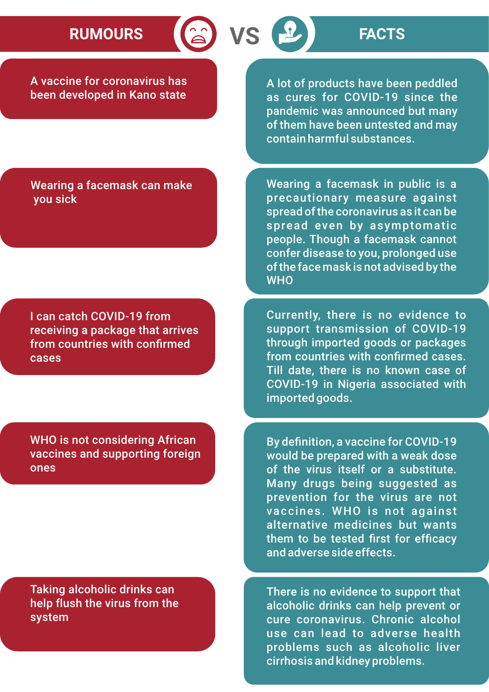# **RUMOURS VS FACTS**

A vaccine for coronavirus has been developed in Kano state

A lot of products have been peddled as cures for COVID-19 since the pandemic was announced but many of them have been untested and may contain harmful substances.

Wearing a facemask can make you sick

I can catch COVID-19 from receiving a package that arrives from countries with confirmed cases

WHO is not considering African vaccines and supporting foreign ones

Taking alcoholic drinks can help flush the virus from the system

Wearing a facemask in public is a precautionary measure against spread of the coronavirus as it can be spread even by asymptomatic people. Though a facemask cannot confer disease to you, prolonged use of the face mask is not advised by the **WHO** 

Currently, there is no evidence to support transmission of COVID-19 through imported goods or packages from countries with confirmed cases. Till date, there is no known case of COVID-19 in Nigeria associated with imported goods.

By definition, a vaccine for COVID-19 would be prepared with a weak dose of the virus itself or a substitute. Many drugs being suggested as prevention for the virus are not vaccines. WHO is not against alternative medicines but wants them to be tested first for efficacy and adverse side effects.

There is no evidence to support that alcoholic drinks can help prevent or cure coronavirus. Chronic alcohol use can lead to adverse health problems such as alcoholic liver cirrhosis and kidney problems.